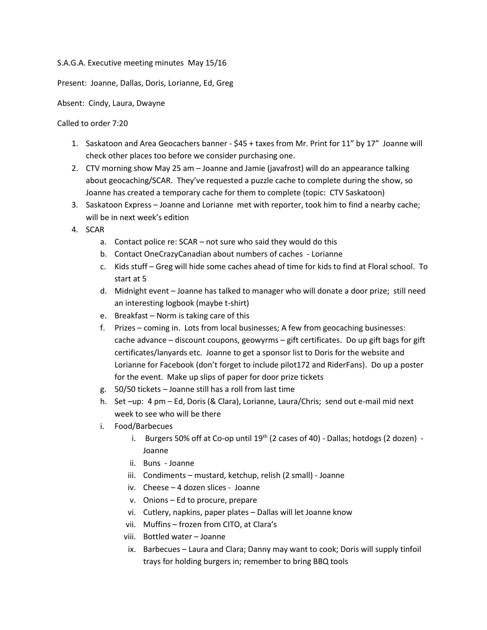## S.A.G.A. Executive meeting minutes May 15/16

Present: Joanne, Dallas, Doris, Lorianne, Ed, Greg

Absent: Cindy, Laura, Dwayne

Called to order 7:20

- 1. Saskatoon and Area Geocachers banner \$45 + taxes from Mr. Print for 11" by 17" Joanne will check other places too before we consider purchasing one.
- 2. CTV morning show May 25 am Joanne and Jamie (javafrost) will do an appearance talking about geocaching/SCAR. They've requested a puzzle cache to complete during the show, so Joanne has created a temporary cache for them to complete (topic: CTV Saskatoon)
- 3. Saskatoon Express Joanne and Lorianne met with reporter, took him to find a nearby cache; will be in next week's edition
- 4. SCAR
	- a. Contact police re: SCAR not sure who said they would do this
	- b. Contact OneCrazyCanadian about numbers of caches Lorianne
	- c. Kids stuff Greg will hide some caches ahead of time for kids to find at Floral school. To start at 5
	- d. Midnight event Joanne has talked to manager who will donate a door prize; still need an interesting logbook (maybe t-shirt)
	- e. Breakfast Norm is taking care of this
	- f. Prizes coming in. Lots from local businesses; A few from geocaching businesses: cache advance – discount coupons, geowyrms – gift certificates. Do up gift bags for gift certificates/lanyards etc. Joanne to get a sponsor list to Doris for the website and Lorianne for Facebook (don't forget to include pilot172 and RiderFans). Do up a poster for the event. Make up slips of paper for door prize tickets
	- g. 50/50 tickets Joanne still has a roll from last time
	- h. Set –up: 4 pm Ed, Doris (& Clara), Lorianne, Laura/Chris; send out e-mail mid next week to see who will be there
	- i. Food/Barbecues
		- i. Burgers 50% off at Co-op until  $19<sup>th</sup>$  (2 cases of 40) Dallas; hotdogs (2 dozen) -Joanne
		- ii. Buns Joanne
		- iii. Condiments mustard, ketchup, relish (2 small) Joanne
		- iv. Cheese 4 dozen slices Joanne
		- v. Onions Ed to procure, prepare
		- vi. Cutlery, napkins, paper plates Dallas will let Joanne know
		- vii. Muffins frozen from CITO, at Clara's
		- viii. Bottled water Joanne
		- ix. Barbecues Laura and Clara; Danny may want to cook; Doris will supply tinfoil trays for holding burgers in; remember to bring BBQ tools